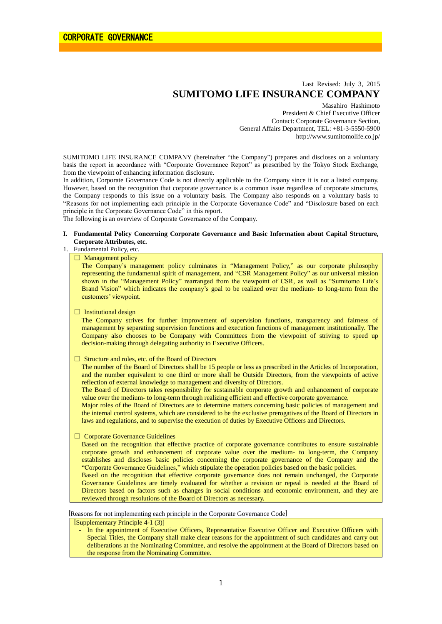# Last Revised: July 3, 2015 **SUMITOMO LIFE INSURANCE COMPANY**

Masahiro Hashimoto President & Chief Executive Officer Contact: Corporate Governance Section, General Affairs Department, TEL: +81-3-5550-5900 http://www.sumitomolife.co.jp/

SUMITOMO LIFE INSURANCE COMPANY (hereinafter "the Company") prepares and discloses on a voluntary basis the report in accordance with "Corporate Governance Report" as prescribed by the Tokyo Stock Exchange, from the viewpoint of enhancing information disclosure.

In addition, Corporate Governance Code is not directly applicable to the Company since it is not a listed company. However, based on the recognition that corporate governance is a common issue regardless of corporate structures, the Company responds to this issue on a voluntary basis. The Company also responds on a voluntary basis to "Reasons for not implementing each principle in the Corporate Governance Code" and "Disclosure based on each principle in the Corporate Governance Code" in this report.

The following is an overview of Corporate Governance of the Company.

# **I. Fundamental Policy Concerning Corporate Governance and Basic Information about Capital Structure, Corporate Attributes, etc.**

# 1. Fundamental Policy, etc.

# □ Management policy

The Company's management policy culminates in "Management Policy," as our corporate philosophy representing the fundamental spirit of management, and "CSR Management Policy" as our universal mission shown in the "Management Policy" rearranged from the viewpoint of CSR, as well as "Sumitomo Life's Brand Vision" which indicates the company's goal to be realized over the medium- to long-term from the customers' viewpoint.

### $\Box$  Institutional design

The Company strives for further improvement of supervision functions, transparency and fairness of management by separating supervision functions and execution functions of management institutionally. The Company also chooses to be Company with Committees from the viewpoint of striving to speed up decision-making through delegating authority to Executive Officers.

#### □ Structure and roles, etc. of the Board of Directors

The number of the Board of Directors shall be 15 people or less as prescribed in the Articles of Incorporation, and the number equivalent to one third or more shall be Outside Directors, from the viewpoints of active reflection of external knowledge to management and diversity of Directors.

The Board of Directors takes responsibility for sustainable corporate growth and enhancement of corporate value over the medium- to long-term through realizing efficient and effective corporate governance.

Major roles of the Board of Directors are to determine matters concerning basic policies of management and the internal control systems, which are considered to be the exclusive prerogatives of the Board of Directors in laws and regulations, and to supervise the execution of duties by Executive Officers and Directors.

□ Corporate Governance Guidelines

Based on the recognition that effective practice of corporate governance contributes to ensure sustainable corporate growth and enhancement of corporate value over the medium- to long-term, the Company establishes and discloses basic policies concerning the corporate governance of the Company and the "Corporate Governance Guidelines," which stipulate the operation policies based on the basic policies.

Based on the recognition that effective corporate governance does not remain unchanged, the Corporate Governance Guidelines are timely evaluated for whether a revision or repeal is needed at the Board of Directors based on factors such as changes in social conditions and economic environment, and they are reviewed through resolutions of the Board of Directors as necessary.

[Reasons for not implementing each principle in the Corporate Governance Code]

[Supplementary Principle 4-1 (3)]

- In the appointment of Executive Officers, Representative Executive Officer and Executive Officers with Special Titles, the Company shall make clear reasons for the appointment of such candidates and carry out deliberations at the Nominating Committee, and resolve the appointment at the Board of Directors based on the response from the Nominating Committee.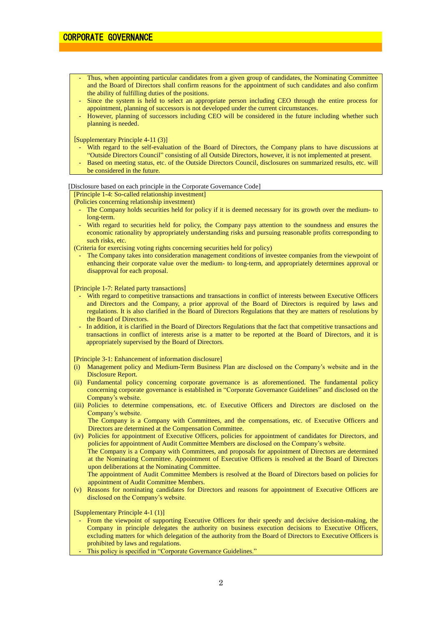- Thus, when appointing particular candidates from a given group of candidates, the Nominating Committee and the Board of Directors shall confirm reasons for the appointment of such candidates and also confirm the ability of fulfilling duties of the positions.
- Since the system is held to select an appropriate person including CEO through the entire process for appointment, planning of successors is not developed under the current circumstances.
- However, planning of successors including CEO will be considered in the future including whether such planning is needed.

[Supplementary Principle 4-11 (3)]

- With regard to the self-evaluation of the Board of Directors, the Company plans to have discussions at "Outside Directors Council" consisting of all Outside Directors, however, it is not implemented at present.
- Based on meeting status, etc. of the Outside Directors Council, disclosures on summarized results, etc. will be considered in the future.

#### [Disclosure based on each principle in the Corporate Governance Code]

[Principle 1-4: So-called relationship investment]

(Policies concerning relationship investment)

- The Company holds securities held for policy if it is deemed necessary for its growth over the medium- to long-term.
- With regard to securities held for policy, the Company pays attention to the soundness and ensures the economic rationality by appropriately understanding risks and pursuing reasonable profits corresponding to such risks, etc.

(Criteria for exercising voting rights concerning securities held for policy)

The Company takes into consideration management conditions of investee companies from the viewpoint of enhancing their corporate value over the medium- to long-term, and appropriately determines approval or disapproval for each proposal.

[Principle 1-7: Related party transactions]

- With regard to competitive transactions and transactions in conflict of interests between Executive Officers and Directors and the Company, a prior approval of the Board of Directors is required by laws and regulations. It is also clarified in the Board of Directors Regulations that they are matters of resolutions by the Board of Directors.
- In addition, it is clarified in the Board of Directors Regulations that the fact that competitive transactions and transactions in conflict of interests arise is a matter to be reported at the Board of Directors, and it is appropriately supervised by the Board of Directors.

[Principle 3-1: Enhancement of information disclosure]

- (i) Management policy and Medium-Term Business Plan are disclosed on the Company's website and in the Disclosure Report.
- (ii) Fundamental policy concerning corporate governance is as aforementioned. The fundamental policy concerning corporate governance is established in "Corporate Governance Guidelines" and disclosed on the Company's website.
- (iii) Policies to determine compensations, etc. of Executive Officers and Directors are disclosed on the Company's website.

The Company is a Company with Committees, and the compensations, etc. of Executive Officers and Directors are determined at the Compensation Committee.

(iv) Policies for appointment of Executive Officers, policies for appointment of candidates for Directors, and policies for appointment of Audit Committee Members are disclosed on the Company's website. The Company is a Company with Committees, and proposals for appointment of Directors are determined at the Nominating Committee. Appointment of Executive Officers is resolved at the Board of Directors upon deliberations at the Nominating Committee. The appointment of Audit Committee Members is resolved at the Board of Directors based on policies for

appointment of Audit Committee Members.

(v) Reasons for nominating candidates for Directors and reasons for appointment of Executive Officers are disclosed on the Company's website.

[Supplementary Principle 4-1 (1)]

- From the viewpoint of supporting Executive Officers for their speedy and decisive decision-making, the Company in principle delegates the authority on business execution decisions to Executive Officers, excluding matters for which delegation of the authority from the Board of Directors to Executive Officers is prohibited by laws and regulations.
- This policy is specified in "Corporate Governance Guidelines."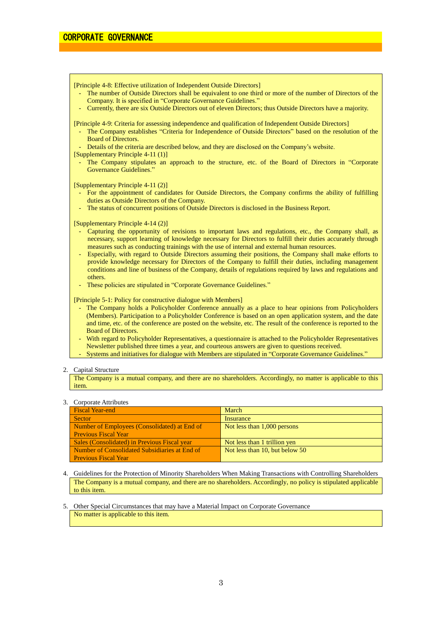[Principle 4-8: Effective utilization of Independent Outside Directors]

- The number of Outside Directors shall be equivalent to one third or more of the number of Directors of the Company. It is specified in "Corporate Governance Guidelines."
- Currently, there are six Outside Directors out of eleven Directors; thus Outside Directors have a majority.

[Principle 4-9: Criteria for assessing independence and qualification of Independent Outside Directors]

- The Company establishes "Criteria for Independence of Outside Directors" based on the resolution of the Board of Directors.
- Details of the criteria are described below, and they are disclosed on the Company's website.
- [Supplementary Principle 4-11 (1)]
	- The Company stipulates an approach to the structure, etc. of the Board of Directors in "Corporate Governance Guidelines.'

[Supplementary Principle 4-11 (2)]

- For the appointment of candidates for Outside Directors, the Company confirms the ability of fulfilling duties as Outside Directors of the Company.
- The status of concurrent positions of Outside Directors is disclosed in the Business Report.

[Supplementary Principle 4-14 (2)]

- Capturing the opportunity of revisions to important laws and regulations, etc., the Company shall, as necessary, support learning of knowledge necessary for Directors to fulfill their duties accurately through measures such as conducting trainings with the use of internal and external human resources.
- Especially, with regard to Outside Directors assuming their positions, the Company shall make efforts to provide knowledge necessary for Directors of the Company to fulfill their duties, including management conditions and line of business of the Company, details of regulations required by laws and regulations and others.
- These policies are stipulated in "Corporate Governance Guidelines."

[Principle 5-1: Policy for constructive dialogue with Members]

- The Company holds a Policyholder Conference annually as a place to hear opinions from Policyholders (Members). Participation to a Policyholder Conference is based on an open application system, and the date and time, etc. of the conference are posted on the website, etc. The result of the conference is reported to the Board of Directors.
- With regard to Policyholder Representatives, a questionnaire is attached to the Policyholder Representatives Newsletter published three times a year, and courteous answers are given to questions received.
- Systems and initiatives for dialogue with Members are stipulated in "Corporate Governance Guidelines."

2. Capital Structure

The Company is a mutual company, and there are no shareholders. Accordingly, no matter is applicable to this item.

#### 3. Corporate Attributes

| <b>Fiscal Year-end</b>                        | March                          |
|-----------------------------------------------|--------------------------------|
| Sector                                        | Insurance                      |
| Number of Employees (Consolidated) at End of  | Not less than 1,000 persons    |
| <b>Previous Fiscal Year</b>                   |                                |
| Sales (Consolidated) in Previous Fiscal year  | Not less than 1 trillion yen   |
| Number of Consolidated Subsidiaries at End of | Not less than 10, but below 50 |
| <b>Previous Fiscal Year</b>                   |                                |

- 4. Guidelines for the Protection of Minority Shareholders When Making Transactions with Controlling Shareholders The Company is a mutual company, and there are no shareholders. Accordingly, no policy is stipulated applicable to this item.
- 5. Other Special Circumstances that may have a Material Impact on Corporate Governance No matter is applicable to this item.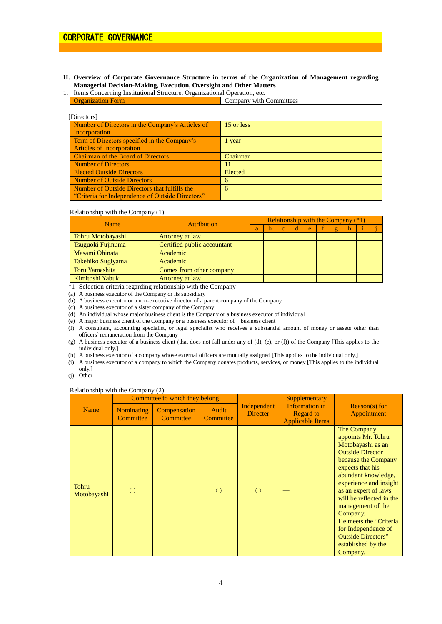- **II. Overview of Corporate Governance Structure in terms of the Organization of Management regarding Managerial Decision-Making, Execution, Oversight and Other Matters**
- 1. Items Concerning Institutional Structure, Organizational Operation, etc. **Organization Form Committees** Company with Committees

| [Directors]                                      |                 |
|--------------------------------------------------|-----------------|
| Number of Directors in the Company's Articles of | 15 or less      |
| Incorporation                                    |                 |
| Term of Directors specified in the Company's     | 1 year          |
| <b>Articles of Incorporation</b>                 |                 |
| <b>Chairman of the Board of Directors</b>        | <b>Chairman</b> |
| <b>Number of Directors</b>                       | 11              |
| <b>Elected Outside Directors</b>                 | Elected         |
| <b>Number of Outside Directors</b>               | 6               |
| Number of Outside Directors that fulfills the    | 6               |
| "Criteria for Independence of Outside Directors" |                 |

### Relationship with the Company (1)

| <b>Name</b>       | <b>Attribution</b>          |   | Relationship with the Company $(*1)$ |          |   |   |  |                |  |  |
|-------------------|-----------------------------|---|--------------------------------------|----------|---|---|--|----------------|--|--|
|                   |                             | a | <sub>b</sub>                         | <b>C</b> | đ | e |  | $\overline{2}$ |  |  |
| Tohru Motobayashi | Attorney at law             |   |                                      |          |   |   |  |                |  |  |
| Tsuguoki Fujinuma | Certified public accountant |   |                                      |          |   |   |  |                |  |  |
| Masami Ohinata    | Academic                    |   |                                      |          |   |   |  |                |  |  |
| Takehiko Sugiyama | Academic                    |   |                                      |          |   |   |  |                |  |  |
| Toru Yamashita    | Comes from other company    |   |                                      |          |   |   |  |                |  |  |
| Kimitoshi Yabuki  | Attorney at law             |   |                                      |          |   |   |  |                |  |  |

\*1 Selection criteria regarding relationship with the Company

(a) A business executor of the Company or its subsidiary

(b) A business executor or a non-executive director of a parent company of the Company

(c) A business executor of a sister company of the Company

(d) An individual whose major business client is the Company or a business executor of individual

(e) A major business client of the Company or a business executor of business client

(f) A consultant, accounting specialist, or legal specialist who receives a substantial amount of money or assets other than officers' remuneration from the Company

- (g) A business executor of a business client (that does not fall under any of (d), (e), or (f)) of the Company [This applies to the individual only.]
- (h) A business executor of a company whose external officers are mutually assigned [This applies to the individual only.]
- (i) A business executor of a company to which the Company donates products, services, or money [This applies to the individual only.]

(j) Other

#### Relationship with the Company (2)

|                      | Committee to which they belong |                           |                    |                                | Supplementary                                                 |                                                                                                                                                                                                                                                                                                                                                                                     |
|----------------------|--------------------------------|---------------------------|--------------------|--------------------------------|---------------------------------------------------------------|-------------------------------------------------------------------------------------------------------------------------------------------------------------------------------------------------------------------------------------------------------------------------------------------------------------------------------------------------------------------------------------|
| <b>Name</b>          | <b>Nominating</b><br>Committee | Compensation<br>Committee | Audit<br>Committee | Independent<br><b>Directer</b> | Information in<br><b>Regard to</b><br><b>Applicable Items</b> | $Reason(s)$ for<br>Appointment                                                                                                                                                                                                                                                                                                                                                      |
| Tohru<br>Motobayashi |                                |                           |                    |                                |                                                               | The Company<br>appoints Mr. Tohru<br>Motobayashi as an<br><b>Outside Director</b><br>because the Company<br>expects that his<br>abundant knowledge,<br>experience and insight<br>as an expert of laws<br>will be reflected in the<br>management of the<br>Company.<br>He meets the "Criteria"<br>for Independence of<br><b>Outside Directors"</b><br>established by the<br>Company. |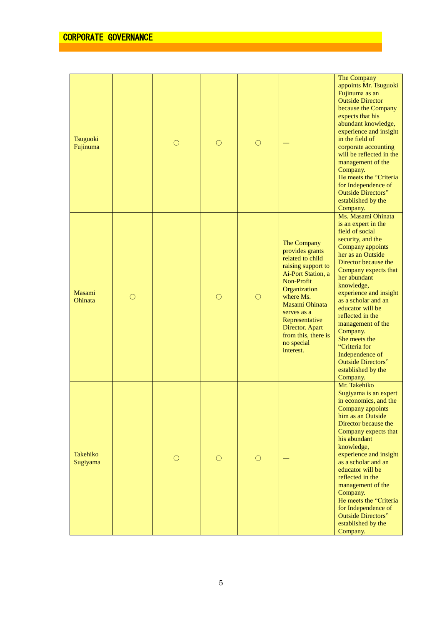| Tsuguoki<br>Fujinuma |            |   | $\left(\begin{array}{c} \end{array}\right)$ | O          |                                                                                                                                                                                                                                                                   | The Company<br>appoints Mr. Tsuguoki<br>Fujinuma as an<br><b>Outside Director</b><br>because the Company<br>expects that his<br>abundant knowledge,<br>experience and insight<br>in the field of<br>corporate accounting<br>will be reflected in the<br>management of the<br>Company.<br>He meets the "Criteria<br>for Independence of<br><b>Outside Directors"</b><br>established by the<br>Company.                                                  |
|----------------------|------------|---|---------------------------------------------|------------|-------------------------------------------------------------------------------------------------------------------------------------------------------------------------------------------------------------------------------------------------------------------|--------------------------------------------------------------------------------------------------------------------------------------------------------------------------------------------------------------------------------------------------------------------------------------------------------------------------------------------------------------------------------------------------------------------------------------------------------|
| Masami<br>Ohinata    | $\bigcirc$ |   | $\bigcirc$                                  | $\bigcirc$ | The Company<br>provides grants<br>related to child<br>raising support to<br>Ai-Port Station, a<br>Non-Profit<br>Organization<br>where Ms.<br>Masami Ohinata<br>serves as a<br>Representative<br>Director. Apart<br>from this, there is<br>no special<br>interest. | Ms. Masami Ohinata<br>is an expert in the<br>field of social<br>security, and the<br>Company appoints<br>her as an Outside<br>Director because the<br>Company expects that<br>her abundant<br>knowledge,<br>experience and insight<br>as a scholar and an<br>educator will be<br>reflected in the<br>management of the<br>Company.<br>She meets the<br>"Criteria for<br>Independence of<br><b>Outside Directors"</b><br>established by the<br>Company. |
| Takehiko<br>Sugiyama |            | 0 | O                                           | $\bigcirc$ |                                                                                                                                                                                                                                                                   | Mr. Takehiko<br>Sugiyama is an expert<br>in economics, and the<br>Company appoints<br>him as an Outside<br>Director because the<br>Company expects that<br>his abundant<br>knowledge,<br>experience and insight<br>as a scholar and an<br>educator will be<br>reflected in the<br>management of the<br>Company.<br>He meets the "Criteria<br>for Independence of<br><b>Outside Directors"</b><br>established by the<br>Company.                        |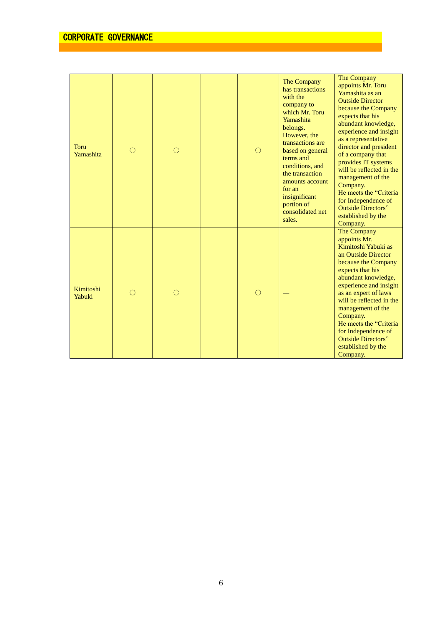| <b>Toru</b><br>Yamashita | $\left(\begin{array}{c} \end{array}\right)$ | ( ) | ∩ | The Company<br>has transactions<br>with the<br>company to<br>which Mr. Toru<br>Yamashita<br>belongs.<br>However, the<br>transactions are<br>based on general<br>terms and<br>conditions, and<br>the transaction<br>amounts account<br>for an<br>insignificant<br>portion of<br>consolidated net<br>sales. | The Company<br>appoints Mr. Toru<br>Yamashita as an<br><b>Outside Director</b><br>because the Company<br>expects that his<br>abundant knowledge,<br>experience and insight<br>as a representative<br>director and president<br>of a company that<br>provides IT systems<br>will be reflected in the<br>management of the<br>Company.<br>He meets the "Criteria"<br>for Independence of<br><b>Outside Directors"</b><br>established by the<br>Company. |
|--------------------------|---------------------------------------------|-----|---|-----------------------------------------------------------------------------------------------------------------------------------------------------------------------------------------------------------------------------------------------------------------------------------------------------------|-------------------------------------------------------------------------------------------------------------------------------------------------------------------------------------------------------------------------------------------------------------------------------------------------------------------------------------------------------------------------------------------------------------------------------------------------------|
| Kimitoshi<br>Yabuki      |                                             |     | ∩ |                                                                                                                                                                                                                                                                                                           | The Company<br>appoints Mr.<br>Kimitoshi Yabuki as<br>an Outside Director<br>because the Company<br>expects that his<br>abundant knowledge,<br>experience and insight<br>as an expert of laws<br>will be reflected in the<br>management of the<br>Company.<br>He meets the "Criteria"<br>for Independence of<br><b>Outside Directors"</b><br>established by the<br>Company.                                                                           |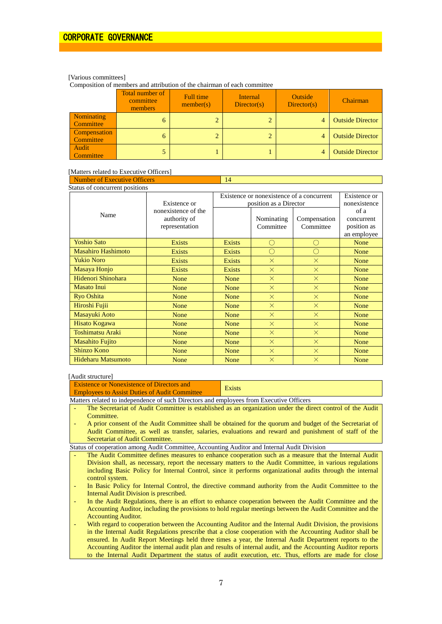# [Various committees]

Composition of members and attribution of the chairman of each committee

|                                  | <b>Total number of</b><br>committee<br>members | Full time<br>member(s) | Internal<br>Directory(s) | <b>Outside</b><br>Directory(s) | Chairman                |
|----------------------------------|------------------------------------------------|------------------------|--------------------------|--------------------------------|-------------------------|
| Nominating<br><b>Committee</b>   | 6                                              |                        | $\overline{2}$           | 4                              | <b>Outside Director</b> |
| Compensation<br><b>Committee</b> | 6                                              |                        | $\overline{2}$           |                                | <b>Outside Director</b> |
| Audit<br><b>Committee</b>        |                                                |                        |                          |                                | <b>Outside Director</b> |

# [Matters related to Executive Officers]

| <b>Number of Executive Officers</b> |                                                       | 14            |                                                                     |                           |                                                  |  |  |  |
|-------------------------------------|-------------------------------------------------------|---------------|---------------------------------------------------------------------|---------------------------|--------------------------------------------------|--|--|--|
| Status of concurrent positions      |                                                       |               |                                                                     |                           |                                                  |  |  |  |
|                                     | Existence or                                          |               | Existence or nonexistence of a concurrent<br>position as a Director |                           |                                                  |  |  |  |
| Name                                | nonexistence of the<br>authority of<br>representation |               | Nominating<br>Committee                                             | Compensation<br>Committee | of a<br>concurrent<br>position as<br>an employee |  |  |  |
| <b>Yoshio Sato</b>                  | <b>Exists</b>                                         | <b>Exists</b> | O                                                                   | ∩                         | None                                             |  |  |  |
| <b>Masahiro Hashimoto</b>           | <b>Exists</b>                                         | <b>Exists</b> | O                                                                   | ∩                         | None                                             |  |  |  |
| <b>Yukio Noro</b>                   | <b>Exists</b>                                         | <b>Exists</b> | $\times$                                                            | $\times$                  | None                                             |  |  |  |
| Masaya Honjo                        | <b>Exists</b>                                         | <b>Exists</b> | $\times$                                                            | $\times$                  | None                                             |  |  |  |
| Hidenori Shinohara                  | None                                                  | None          | $\times$                                                            | $\times$                  | None                                             |  |  |  |
| Masato Inui                         | None                                                  | None          | $\times$                                                            | $\times$                  | None                                             |  |  |  |
| <b>Ryo Oshita</b>                   | None                                                  | None          | $\times$                                                            | $\times$                  | <b>None</b>                                      |  |  |  |
| Hiroshi Fujii                       | None                                                  | None          | $\times$                                                            | $\times$                  | None                                             |  |  |  |
| Masayuki Aoto                       | None                                                  | None          | $\times$                                                            | $\times$                  | None                                             |  |  |  |
| Hisato Kogawa                       | None                                                  | None          | $\times$                                                            | $\times$                  | None                                             |  |  |  |
| <b>Toshimatsu Araki</b>             | None                                                  | None          | $\times$                                                            | $\times$                  | None                                             |  |  |  |
| <b>Masahito Fujito</b>              | None                                                  | None          | $\times$                                                            | $\times$                  | None                                             |  |  |  |
| <b>Shinzo Kono</b>                  | None                                                  | None          | $\times$                                                            | $\times$                  | None                                             |  |  |  |
| Hideharu Matsumoto                  | None                                                  | None          | $\times$                                                            | $\times$                  | None                                             |  |  |  |

# [Audit structure]

| Existence or Nonexistence of Directors and<br><b>Employees to Assist Duties of Audit Committee</b>    | <b>Exists</b>                                                                                              |  |  |  |
|-------------------------------------------------------------------------------------------------------|------------------------------------------------------------------------------------------------------------|--|--|--|
| Matters related to independence of such Directors and employees from Executive Officers               |                                                                                                            |  |  |  |
|                                                                                                       | The Secretariat of Audit Committee is established as an organization under the direct control of the Audit |  |  |  |
| Committee.                                                                                            |                                                                                                            |  |  |  |
|                                                                                                       | A prior consent of the Audit Committee shall be obtained for the quorum and budget of the Secretariat of   |  |  |  |
|                                                                                                       | Audit Committee, as well as transfer, salaries, evaluations and reward and punishment of staff of the      |  |  |  |
| Secretariat of Audit Committee.                                                                       |                                                                                                            |  |  |  |
| Status of cooperation among Audit Committee, Accounting Auditor and Internal Audit Division           |                                                                                                            |  |  |  |
| The Audit Committee defines measures to enhance cooperation such as a measure that the Internal Audit |                                                                                                            |  |  |  |
|                                                                                                       | Division shall, as necessary, report the necessary matters to the Audit Committee, in various regulations  |  |  |  |
|                                                                                                       | including Basic Policy for Internal Control, since it performs organizational audits through the internal  |  |  |  |
| control system.                                                                                       |                                                                                                            |  |  |  |
|                                                                                                       | In Basic Policy for Internal Control, the directive command authority from the Audit Committee to the      |  |  |  |
| Internal Audit Division is prescribed.                                                                |                                                                                                            |  |  |  |
|                                                                                                       | In the Audit Regulations, there is an effort to enhance cooperation between the Audit Committee and the    |  |  |  |
|                                                                                                       | Accounting Auditor, including the provisions to hold regular meetings between the Audit Committee and the  |  |  |  |
| <b>Accounting Auditor.</b>                                                                            |                                                                                                            |  |  |  |
|                                                                                                       | With regard to cooperation between the Accounting Auditor and the Internal Audit Division, the provisions  |  |  |  |
|                                                                                                       | in the Internal Audit Regulations prescribe that a close cooperation with the Accounting Auditor shall be  |  |  |  |
|                                                                                                       | ensured. In Audit Report Meetings held three times a year, the Internal Audit Department reports to the    |  |  |  |

Accounting Auditor the internal audit plan and results of internal audit, and the Accounting Auditor reports to the Internal Audit Department the status of audit execution, etc. Thus, efforts are made for close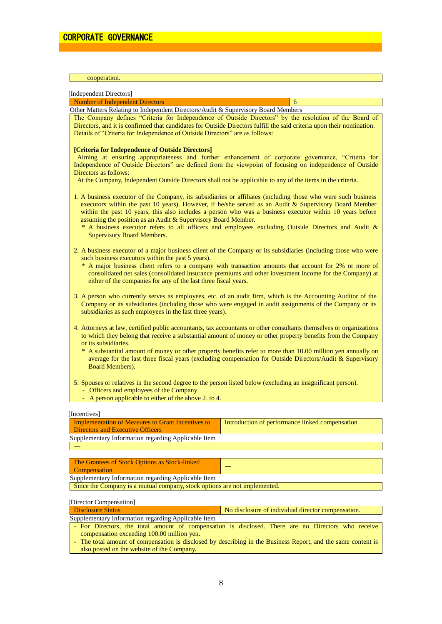| cooperation.                                                                                                                                                                                                                                                                                                                                                                                                                                                                                              |                                                                                                                                                                                                                                                                                                                                                                                                                                          |  |  |  |
|-----------------------------------------------------------------------------------------------------------------------------------------------------------------------------------------------------------------------------------------------------------------------------------------------------------------------------------------------------------------------------------------------------------------------------------------------------------------------------------------------------------|------------------------------------------------------------------------------------------------------------------------------------------------------------------------------------------------------------------------------------------------------------------------------------------------------------------------------------------------------------------------------------------------------------------------------------------|--|--|--|
| [Independent Directors]                                                                                                                                                                                                                                                                                                                                                                                                                                                                                   |                                                                                                                                                                                                                                                                                                                                                                                                                                          |  |  |  |
| <b>Number of Independent Directors</b>                                                                                                                                                                                                                                                                                                                                                                                                                                                                    | 6                                                                                                                                                                                                                                                                                                                                                                                                                                        |  |  |  |
| Other Matters Relating to Independent Directors/Audit & Supervisory Board Members<br>Details of "Criteria for Independence of Outside Directors" are as follows:                                                                                                                                                                                                                                                                                                                                          | The Company defines "Criteria for Independence of Outside Directors" by the resolution of the Board of<br>Directors, and it is confirmed that candidates for Outside Directors fulfill the said criteria upon their nomination.                                                                                                                                                                                                          |  |  |  |
| [Criteria for Independence of Outside Directors]<br>Directors as follows:<br>At the Company, Independent Outside Directors shall not be applicable to any of the items in the criteria.                                                                                                                                                                                                                                                                                                                   | Aiming at ensuring appropriateness and further enhancement of corporate governance, "Criteria for<br>Independence of Outside Directors" are defined from the viewpoint of focusing on independence of Outside                                                                                                                                                                                                                            |  |  |  |
| assuming the position as an Audit & Supervisory Board Member.<br><b>Supervisory Board Members.</b>                                                                                                                                                                                                                                                                                                                                                                                                        | 1. A business executor of the Company, its subsidiaries or affiliates (including those who were such business<br>executors within the past 10 years). However, if he/she served as an Audit & Supervisory Board Member<br>within the past 10 years, this also includes a person who was a business executor within 10 years before<br>* A business executor refers to all officers and employees excluding Outside Directors and Audit & |  |  |  |
| 2. A business executor of a major business client of the Company or its subsidiaries (including those who were<br>such business executors within the past 5 years).<br>* A major business client refers to a company with transaction amounts that account for 2% or more of<br>consolidated net sales (consolidated insurance premiums and other investment income for the Company) at<br>either of the companies for any of the last three fiscal years.                                                |                                                                                                                                                                                                                                                                                                                                                                                                                                          |  |  |  |
| subsidiaries as such employees in the last three years).                                                                                                                                                                                                                                                                                                                                                                                                                                                  | 3. A person who currently serves as employees, etc. of an audit firm, which is the Accounting Auditor of the<br>Company or its subsidiaries (including those who were engaged in audit assignments of the Company or its                                                                                                                                                                                                                 |  |  |  |
| 4. Attorneys at law, certified public accountants, tax accountants or other consultants themselves or organizations<br>to which they belong that receive a substantial amount of money or other property benefits from the Company<br>or its subsidiaries.<br>* A substantial amount of money or other property benefits refer to more than 10.00 million yen annually on<br>average for the last three fiscal years (excluding compensation for Outside Directors/Audit & Supervisory<br>Board Members). |                                                                                                                                                                                                                                                                                                                                                                                                                                          |  |  |  |
| 5. Spouses or relatives in the second degree to the person listed below (excluding an insignificant person).<br>- Officers and employees of the Company<br>- A person applicable to either of the above 2, to 4.                                                                                                                                                                                                                                                                                          |                                                                                                                                                                                                                                                                                                                                                                                                                                          |  |  |  |
| [Incentives]                                                                                                                                                                                                                                                                                                                                                                                                                                                                                              |                                                                                                                                                                                                                                                                                                                                                                                                                                          |  |  |  |
| <b>Implementation of Measures to Grant Incentives to</b><br><b>Directors and Executive Officers</b>                                                                                                                                                                                                                                                                                                                                                                                                       | Introduction of performance linked compensation                                                                                                                                                                                                                                                                                                                                                                                          |  |  |  |
| Supplementary Information regarding Applicable Item                                                                                                                                                                                                                                                                                                                                                                                                                                                       |                                                                                                                                                                                                                                                                                                                                                                                                                                          |  |  |  |
|                                                                                                                                                                                                                                                                                                                                                                                                                                                                                                           |                                                                                                                                                                                                                                                                                                                                                                                                                                          |  |  |  |
| The Grantees of Stock Options as Stock-linked                                                                                                                                                                                                                                                                                                                                                                                                                                                             |                                                                                                                                                                                                                                                                                                                                                                                                                                          |  |  |  |

**Compensation** 

Supplementary Information regarding Applicable Item

Since the Company is a mutual company, stock options are not implemented.

[Director Compensation]

| <b>Disclosure Status</b>                            | No disclosure of individual director compensation. |
|-----------------------------------------------------|----------------------------------------------------|
| Supplementary Information regarding Applicable Item |                                                    |

- For Directors, the total amount of compensation is disclosed. There are no Directors who receive compensation exceeding 100.00 million yen.

- The total amount of compensation is disclosed by describing in the Business Report, and the same content is also posted on the website of the Company.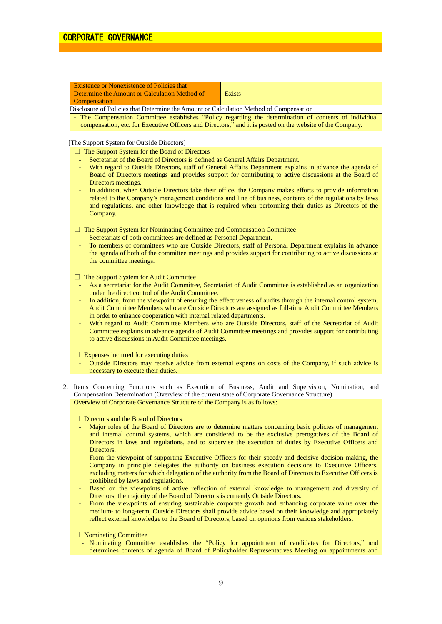| <b>Existence or Nonexistence of Policies that</b>                                      |                                                                                                        |
|----------------------------------------------------------------------------------------|--------------------------------------------------------------------------------------------------------|
| Determine the Amount or Calculation Method of                                          | Exists                                                                                                 |
| <b>Compensation</b>                                                                    |                                                                                                        |
| Disclosure of Policies that Determine the Amount or Calculation Method of Compensation |                                                                                                        |
|                                                                                        | - The Compensation Committee establishes "Policy regarding the determination of contents of individual |

compensation, etc. for Executive Officers and Directors," and it is posted on the website of the Company.

# [The Support System for Outside Directors]

- $\Box$  The Support System for the Board of Directors
- Secretariat of the Board of Directors is defined as General Affairs Department.
- With regard to Outside Directors, staff of General Affairs Department explains in advance the agenda of Board of Directors meetings and provides support for contributing to active discussions at the Board of Directors meetings.
- In addition, when Outside Directors take their office, the Company makes efforts to provide information related to the Company's management conditions and line of business, contents of the regulations by laws and regulations, and other knowledge that is required when performing their duties as Directors of the Company.

 $\Box$  The Support System for Nominating Committee and Compensation Committee

- Secretariats of both committees are defined as Personal Department.
- To members of committees who are Outside Directors, staff of Personal Department explains in advance the agenda of both of the committee meetings and provides support for contributing to active discussions at the committee meetings.

 $\Box$  The Support System for Audit Committee

- As a secretariat for the Audit Committee, Secretariat of Audit Committee is established as an organization under the direct control of the Audit Committee.
- In addition, from the viewpoint of ensuring the effectiveness of audits through the internal control system, Audit Committee Members who are Outside Directors are assigned as full-time Audit Committee Members in order to enhance cooperation with internal related departments.
- With regard to Audit Committee Members who are Outside Directors, staff of the Secretariat of Audit Committee explains in advance agenda of Audit Committee meetings and provides support for contributing to active discussions in Audit Committee meetings.
- $\Box$  Expenses incurred for executing duties
	- Outside Directors may receive advice from external experts on costs of the Company, if such advice is necessary to execute their duties.
- 2. Items Concerning Functions such as Execution of Business, Audit and Supervision, Nomination, and Compensation Determination (Overview of the current state of Corporate Governance Structure)

Overview of Corporate Governance Structure of the Company is as follows:

□ Directors and the Board of Directors

- Major roles of the Board of Directors are to determine matters concerning basic policies of management and internal control systems, which are considered to be the exclusive prerogatives of the Board of Directors in laws and regulations, and to supervise the execution of duties by Executive Officers and Directors.
- From the viewpoint of supporting Executive Officers for their speedy and decisive decision-making, the Company in principle delegates the authority on business execution decisions to Executive Officers, excluding matters for which delegation of the authority from the Board of Directors to Executive Officers is prohibited by laws and regulations.
- Based on the viewpoints of active reflection of external knowledge to management and diversity of Directors, the majority of the Board of Directors is currently Outside Directors.
- From the viewpoints of ensuring sustainable corporate growth and enhancing corporate value over the medium- to long-term, Outside Directors shall provide advice based on their knowledge and appropriately reflect external knowledge to the Board of Directors, based on opinions from various stakeholders.

□ Nominating Committee

- Nominating Committee establishes the "Policy for appointment of candidates for Directors," and determines contents of agenda of Board of Policyholder Representatives Meeting on appointments and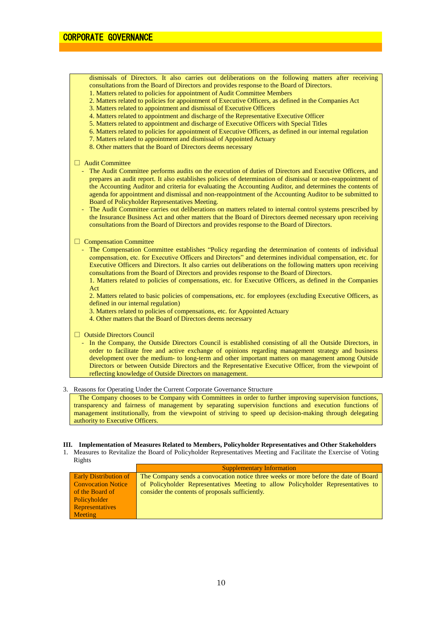dismissals of Directors. It also carries out deliberations on the following matters after receiving consultations from the Board of Directors and provides response to the Board of Directors.

- 1. Matters related to policies for appointment of Audit Committee Members
- 2. Matters related to policies for appointment of Executive Officers, as defined in the Companies Act
- 3. Matters related to appointment and dismissal of Executive Officers
- 4. Matters related to appointment and discharge of the Representative Executive Officer
- 5. Matters related to appointment and discharge of Executive Officers with Special Titles
- 6. Matters related to policies for appointment of Executive Officers, as defined in our internal regulation
- 7. Matters related to appointment and dismissal of Appointed Actuary
- 8. Other matters that the Board of Directors deems necessary

#### □ Audit Committee

- The Audit Committee performs audits on the execution of duties of Directors and Executive Officers, and prepares an audit report. It also establishes policies of determination of dismissal or non-reappointment of the Accounting Auditor and criteria for evaluating the Accounting Auditor, and determines the contents of agenda for appointment and dismissal and non-reappointment of the Accounting Auditor to be submitted to Board of Policyholder Representatives Meeting.
- The Audit Committee carries out deliberations on matters related to internal control systems prescribed by the Insurance Business Act and other matters that the Board of Directors deemed necessary upon receiving consultations from the Board of Directors and provides response to the Board of Directors.

### □ Compensation Committee

- The Compensation Committee establishes "Policy regarding the determination of contents of individual compensation, etc. for Executive Officers and Directors" and determines individual compensation, etc. for Executive Officers and Directors. It also carries out deliberations on the following matters upon receiving consultations from the Board of Directors and provides response to the Board of Directors.
	- 1. Matters related to policies of compensations, etc. for Executive Officers, as defined in the Companies Act

2. Matters related to basic policies of compensations, etc. for employees (excluding Executive Officers, as defined in our internal regulation)

- 3. Matters related to policies of compensations, etc. for Appointed Actuary
- 4. Other matters that the Board of Directors deems necessary

□ Outside Directors Council

- In the Company, the Outside Directors Council is established consisting of all the Outside Directors, in order to facilitate free and active exchange of opinions regarding management strategy and business development over the medium- to long-term and other important matters on management among Outside Directors or between Outside Directors and the Representative Executive Officer, from the viewpoint of reflecting knowledge of Outside Directors on management.

#### 3. Reasons for Operating Under the Current Corporate Governance Structure

The Company chooses to be Company with Committees in order to further improving supervision functions, transparency and fairness of management by separating supervision functions and execution functions of management institutionally, from the viewpoint of striving to speed up decision-making through delegating authority to Executive Officers.

#### **III. Implementation of Measures Related to Members, Policyholder Representatives and Other Stakeholders**

1. Measures to Revitalize the Board of Policyholder Representatives Meeting and Facilitate the Exercise of Voting Rights

|                              | <b>Supplementary Information</b>                                                    |
|------------------------------|-------------------------------------------------------------------------------------|
| <b>Early Distribution of</b> | The Company sends a convocation notice three weeks or more before the date of Board |
| <b>Convocation Notice</b>    | of Policyholder Representatives Meeting to allow Policyholder Representatives to    |
| of the Board of              | consider the contents of proposals sufficiently.                                    |
| Policyholder                 |                                                                                     |
| <b>Representatives</b>       |                                                                                     |
| <b>Meeting</b>               |                                                                                     |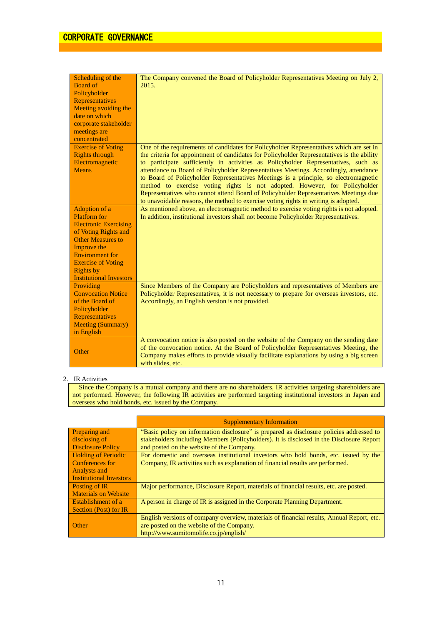| Scheduling of the<br><b>Board of</b><br>Policyholder<br>Representatives<br>Meeting avoiding the<br>date on which<br>corporate stakeholder<br>meetings are<br>concentrated                                                                            | The Company convened the Board of Policyholder Representatives Meeting on July 2,<br>2015.                                                                                                                                                                                                                                                                                                                                                                                                                                                                                                                                                                                                                                |
|------------------------------------------------------------------------------------------------------------------------------------------------------------------------------------------------------------------------------------------------------|---------------------------------------------------------------------------------------------------------------------------------------------------------------------------------------------------------------------------------------------------------------------------------------------------------------------------------------------------------------------------------------------------------------------------------------------------------------------------------------------------------------------------------------------------------------------------------------------------------------------------------------------------------------------------------------------------------------------------|
| <b>Exercise of Voting</b><br><b>Rights through</b><br>Electromagnetic<br><b>Means</b>                                                                                                                                                                | One of the requirements of candidates for Policyholder Representatives which are set in<br>the criteria for appointment of candidates for Policyholder Representatives is the ability<br>to participate sufficiently in activities as Policyholder Representatives, such as<br>attendance to Board of Policyholder Representatives Meetings. Accordingly, attendance<br>to Board of Policyholder Representatives Meetings is a principle, so electromagnetic<br>method to exercise voting rights is not adopted. However, for Policyholder<br>Representatives who cannot attend Board of Policyholder Representatives Meetings due<br>to unavoidable reasons, the method to exercise voting rights in writing is adopted. |
| Adoption of a<br><b>Platform</b> for<br><b>Electronic Exercising</b><br>of Voting Rights and<br><b>Other Measures to</b><br>Improve the<br><b>Environment</b> for<br><b>Exercise of Voting</b><br><b>Rights</b> by<br><b>Institutional Investors</b> | As mentioned above, an electromagnetic method to exercise voting rights is not adopted.<br>In addition, institutional investors shall not become Policyholder Representatives.                                                                                                                                                                                                                                                                                                                                                                                                                                                                                                                                            |
| Providing<br><b>Convocation Notice</b><br>of the Board of<br>Policyholder<br>Representatives<br><b>Meeting (Summary)</b><br>in English                                                                                                               | Since Members of the Company are Policyholders and representatives of Members are<br>Policyholder Representatives, it is not necessary to prepare for overseas investors, etc.<br>Accordingly, an English version is not provided.                                                                                                                                                                                                                                                                                                                                                                                                                                                                                        |
| Other                                                                                                                                                                                                                                                | A convocation notice is also posted on the website of the Company on the sending date<br>of the convocation notice. At the Board of Policyholder Representatives Meeting, the<br>Company makes efforts to provide visually facilitate explanations by using a big screen<br>with slides, etc.                                                                                                                                                                                                                                                                                                                                                                                                                             |

# 2. IR Activities

Since the Company is a mutual company and there are no shareholders, IR activities targeting shareholders are not performed. However, the following IR activities are performed targeting institutional investors in Japan and overseas who hold bonds, etc. issued by the Company.

|                                | <b>Supplementary Information</b>                                                          |
|--------------------------------|-------------------------------------------------------------------------------------------|
| Preparing and                  | "Basic policy on information disclosure" is prepared as disclosure policies addressed to  |
| disclosing of                  | stakeholders including Members (Policyholders). It is disclosed in the Disclosure Report  |
| <b>Disclosure Policy</b>       | and posted on the website of the Company.                                                 |
| <b>Holding of Periodic</b>     | For domestic and overseas institutional investors who hold bonds, etc. issued by the      |
| <b>Conferences for</b>         | Company, IR activities such as explanation of financial results are performed.            |
| <b>Analysts and</b>            |                                                                                           |
| <b>Institutional Investors</b> |                                                                                           |
| <b>Posting of IR</b>           | Major performance, Disclosure Report, materials of financial results, etc. are posted.    |
| <b>Materials on Website</b>    |                                                                                           |
| <b>Establishment of a</b>      | A person in charge of IR is assigned in the Corporate Planning Department.                |
| Section (Post) for IR          |                                                                                           |
|                                | English versions of company overview, materials of financial results, Annual Report, etc. |
| <b>Other</b>                   | are posted on the website of the Company.                                                 |
|                                | http://www.sumitomolife.co.jp/english/                                                    |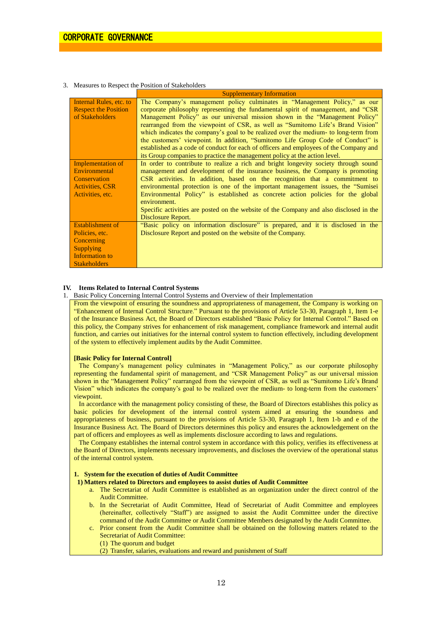#### 3. Measures to Respect the Position of Stakeholders

|                             | <b>Supplementary Information</b>                                                       |
|-----------------------------|----------------------------------------------------------------------------------------|
| Internal Rules, etc. to     | The Company's management policy culminates in "Management Policy," as our              |
| <b>Respect the Position</b> | corporate philosophy representing the fundamental spirit of management, and "CSR       |
| of Stakeholders             | Management Policy" as our universal mission shown in the "Management Policy"           |
|                             | rearranged from the viewpoint of CSR, as well as "Sumitomo Life's Brand Vision"        |
|                             | which indicates the company's goal to be realized over the medium- to long-term from   |
|                             | the customers' viewpoint. In addition, "Sumitomo Life Group Code of Conduct" is        |
|                             | established as a code of conduct for each of officers and employees of the Company and |
|                             | its Group companies to practice the management policy at the action level.             |
| Implementation of           | In order to contribute to realize a rich and bright longevity society through sound    |
| Environmental               | management and development of the insurance business, the Company is promoting         |
| Conservation                | CSR activities. In addition, based on the recognition that a commitment to             |
| <b>Activities, CSR</b>      | environmental protection is one of the important management issues, the "Sumisei       |
| Activities, etc.            | Environmental Policy" is established as concrete action policies for the global        |
|                             | environment.                                                                           |
|                             | Specific activities are posted on the website of the Company and also disclosed in the |
|                             | Disclosure Report.                                                                     |
| <b>Establishment of</b>     | "Basic policy on information disclosure" is prepared, and it is disclosed in the       |
| Policies, etc.              | Disclosure Report and posted on the website of the Company.                            |
| Concerning                  |                                                                                        |
| <b>Supplying</b>            |                                                                                        |
| Information to              |                                                                                        |
| <b>Stakeholders</b>         |                                                                                        |

# **IV. Items Related to Internal Control Systems**

1. Basic Policy Concerning Internal Control Systems and Overview of their Implementation

From the viewpoint of ensuring the soundness and appropriateness of management, the Company is working on "Enhancement of Internal Control Structure." Pursuant to the provisions of Article 53-30, Paragraph 1, Item 1-e of the Insurance Business Act, the Board of Directors established "Basic Policy for Internal Control." Based on this policy, the Company strives for enhancement of risk management, compliance framework and internal audit function, and carries out initiatives for the internal control system to function effectively, including development of the system to effectively implement audits by the Audit Committee.

#### **[Basic Policy for Internal Control]**

The Company's management policy culminates in "Management Policy," as our corporate philosophy representing the fundamental spirit of management, and "CSR Management Policy" as our universal mission shown in the "Management Policy" rearranged from the viewpoint of CSR, as well as "Sumitomo Life's Brand Vision" which indicates the company's goal to be realized over the medium- to long-term from the customers' viewpoint.

In accordance with the management policy consisting of these, the Board of Directors establishes this policy as basic policies for development of the internal control system aimed at ensuring the soundness and appropriateness of business, pursuant to the provisions of Article 53-30, Paragraph 1, Item 1-b and e of the Insurance Business Act. The Board of Directors determines this policy and ensures the acknowledgement on the part of officers and employees as well as implements disclosure according to laws and regulations.

The Company establishes the internal control system in accordance with this policy, verifies its effectiveness at the Board of Directors, implements necessary improvements, and discloses the overview of the operational status of the internal control system.

# **1. System for the execution of duties of Audit Committee**

- **1) Matters related to Directors and employees to assist duties of Audit Committee**
	- a. The Secretariat of Audit Committee is established as an organization under the direct control of the Audit Committee.
	- b. In the Secretariat of Audit Committee, Head of Secretariat of Audit Committee and employees (hereinafter, collectively "Staff") are assigned to assist the Audit Committee under the directive command of the Audit Committee or Audit Committee Members designated by the Audit Committee.
	- c. Prior consent from the Audit Committee shall be obtained on the following matters related to the Secretariat of Audit Committee:
		- (1) The quorum and budget
		- (2) Transfer, salaries, evaluations and reward and punishment of Staff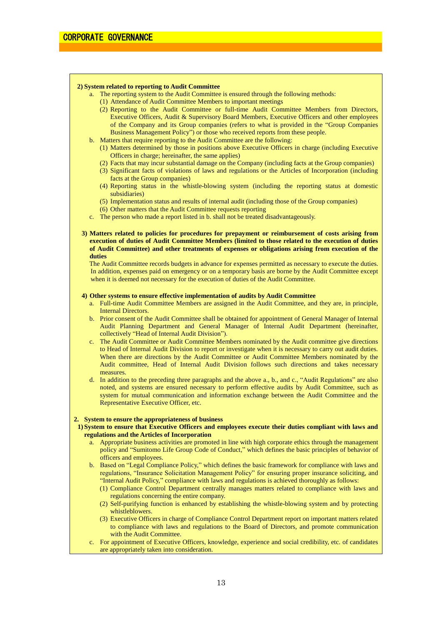#### **2) System related to reporting to Audit Committee**

- a. The reporting system to the Audit Committee is ensured through the following methods:
	- (1) Attendance of Audit Committee Members to important meetings
	- (2) Reporting to the Audit Committee or full-time Audit Committee Members from Directors, Executive Officers, Audit & Supervisory Board Members, Executive Officers and other employees of the Company and its Group companies (refers to what is provided in the "Group Companies Business Management Policy") or those who received reports from these people.
- b. Matters that require reporting to the Audit Committee are the following:
	- (1) Matters determined by those in positions above Executive Officers in charge (including Executive Officers in charge; hereinafter, the same applies)
	- (2) Facts that may incur substantial damage on the Company (including facts at the Group companies)
	- (3) Significant facts of violations of laws and regulations or the Articles of Incorporation (including facts at the Group companies)
	- (4) Reporting status in the whistle-blowing system (including the reporting status at domestic subsidiaries)
	- (5) Implementation status and results of internal audit (including those of the Group companies)
	- (6) Other matters that the Audit Committee requests reporting
- c. The person who made a report listed in b. shall not be treated disadvantageously.
- **3) Matters related to policies for procedures for prepayment or reimbursement of costs arising from execution of duties of Audit Committee Members (limited to those related to the execution of duties of Audit Committee) and other treatments of expenses or obligations arising from execution of the duties**

The Audit Committee records budgets in advance for expenses permitted as necessary to execute the duties. In addition, expenses paid on emergency or on a temporary basis are borne by the Audit Committee except when it is deemed not necessary for the execution of duties of the Audit Committee.

#### **4) Other systems to ensure effective implementation of audits by Audit Committee**

- a. Full-time Audit Committee Members are assigned in the Audit Committee, and they are, in principle, Internal Directors.
- b. Prior consent of the Audit Committee shall be obtained for appointment of General Manager of Internal Audit Planning Department and General Manager of Internal Audit Department (hereinafter, collectively "Head of Internal Audit Division").
- c. The Audit Committee or Audit Committee Members nominated by the Audit committee give directions to Head of Internal Audit Division to report or investigate when it is necessary to carry out audit duties. When there are directions by the Audit Committee or Audit Committee Members nominated by the Audit committee, Head of Internal Audit Division follows such directions and takes necessary measures.
- d. In addition to the preceding three paragraphs and the above a., b., and c., "Audit Regulations" are also noted, and systems are ensured necessary to perform effective audits by Audit Committee, such as system for mutual communication and information exchange between the Audit Committee and the Representative Executive Officer, etc.

#### **2. System to ensure the appropriateness of business**

- **1) System to ensure that Executive Officers and employees execute their duties compliant with laws and regulations and the Articles of Incorporation**
	- a. Appropriate business activities are promoted in line with high corporate ethics through the management policy and "Sumitomo Life Group Code of Conduct," which defines the basic principles of behavior of officers and employees.
	- b. Based on "Legal Compliance Policy," which defines the basic framework for compliance with laws and regulations, "Insurance Solicitation Management Policy" for ensuring proper insurance soliciting, and "Internal Audit Policy," compliance with laws and regulations is achieved thoroughly as follows:
		- (1) Compliance Control Department centrally manages matters related to compliance with laws and regulations concerning the entire company.
		- (2) Self-purifying function is enhanced by establishing the whistle-blowing system and by protecting whistleblowers.
		- (3) Executive Officers in charge of Compliance Control Department report on important matters related to compliance with laws and regulations to the Board of Directors, and promote communication with the Audit Committee.
	- c. For appointment of Executive Officers, knowledge, experience and social credibility, etc. of candidates are appropriately taken into consideration.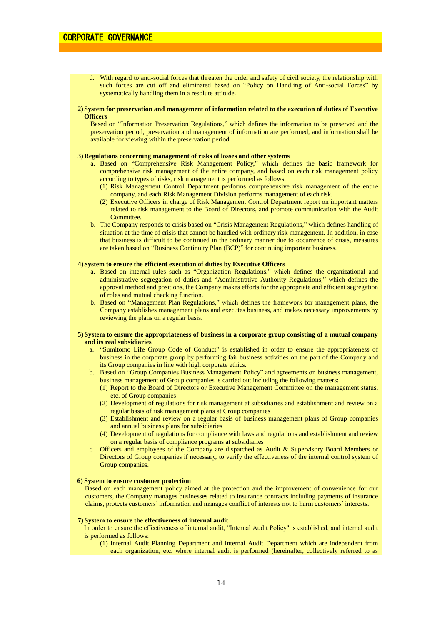d. With regard to anti-social forces that threaten the order and safety of civil society, the relationship with such forces are cut off and eliminated based on "Policy on Handling of Anti-social Forces" by systematically handling them in a resolute attitude.

# **2)System for preservation and management of information related to the execution of duties of Executive Officers**

Based on "Information Preservation Regulations," which defines the information to be preserved and the preservation period, preservation and management of information are performed, and information shall be available for viewing within the preservation period.

#### **3)Regulations concerning management of risks of losses and other systems**

- a. Based on "Comprehensive Risk Management Policy," which defines the basic framework for comprehensive risk management of the entire company, and based on each risk management policy according to types of risks, risk management is performed as follows:
	- (1) Risk Management Control Department performs comprehensive risk management of the entire company, and each Risk Management Division performs management of each risk.
	- (2) Executive Officers in charge of Risk Management Control Department report on important matters related to risk management to the Board of Directors, and promote communication with the Audit **Committee**
- b. The Company responds to crisis based on "Crisis Management Regulations," which defines handling of situation at the time of crisis that cannot be handled with ordinary risk management. In addition, in case that business is difficult to be continued in the ordinary manner due to occurrence of crisis, measures are taken based on "Business Continuity Plan (BCP)" for continuing important business.

# **4)System to ensure the efficient execution of duties by Executive Officers**

- a. Based on internal rules such as "Organization Regulations," which defines the organizational and administrative segregation of duties and "Administrative Authority Regulations," which defines the approval method and positions, the Company makes efforts for the appropriate and efficient segregation of roles and mutual checking function.
- b. Based on "Management Plan Regulations," which defines the framework for management plans, the Company establishes management plans and executes business, and makes necessary improvements by reviewing the plans on a regular basis.

#### **5) System to ensure the appropriateness of business in a corporate group consisting of a mutual company and its real subsidiaries**

- a. "Sumitomo Life Group Code of Conduct" is established in order to ensure the appropriateness of business in the corporate group by performing fair business activities on the part of the Company and its Group companies in line with high corporate ethics.
- b. Based on "Group Companies Business Management Policy" and agreements on business management, business management of Group companies is carried out including the following matters:
	- (1) Report to the Board of Directors or Executive Management Committee on the management status, etc. of Group companies
	- (2) Development of regulations for risk management at subsidiaries and establishment and review on a regular basis of risk management plans at Group companies
	- (3) Establishment and review on a regular basis of business management plans of Group companies and annual business plans for subsidiaries
	- (4) Development of regulations for compliance with laws and regulations and establishment and review on a regular basis of compliance programs at subsidiaries
- c. Officers and employees of the Company are dispatched as Audit & Supervisory Board Members or Directors of Group companies if necessary, to verify the effectiveness of the internal control system of Group companies.

# **6) System to ensure customer protection**

Based on each management policy aimed at the protection and the improvement of convenience for our customers, the Company manages businesses related to insurance contracts including payments of insurance claims, protects customers' information and manages conflict of interests not to harm customers' interests.

### **7) System to ensure the effectiveness of internal audit**

In order to ensure the effectiveness of internal audit, "Internal Audit Policy" is established, and internal audit is performed as follows:

(1) Internal Audit Planning Department and Internal Audit Department which are independent from each organization, etc. where internal audit is performed (hereinafter, collectively referred to as